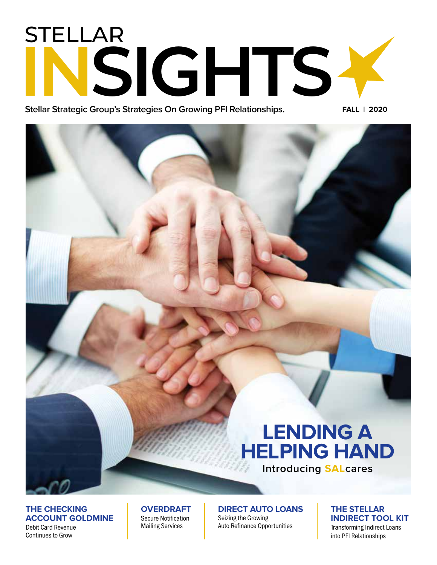# STELLAR **INSIGHTS -**

**Stellar Strategic Group's Strategies On Growing PFI Relationships.** 

**FALL | 2020**

# **LENDING A HELPING HAND**

**Introducing SALcares**

## **THE CHECKING ACCOUNT GOLDMINE**

Debit Card Revenue Continues to Grow

#### **OVERDRAFT** Secure Notification Mailing Services

**DIRECT AUTO LOANS** Seizing the Growing Auto Refinance Opportunities

#### **THE STELLAR INDIRECT TOOL KIT** Transforming Indirect Loans into PFI Relationships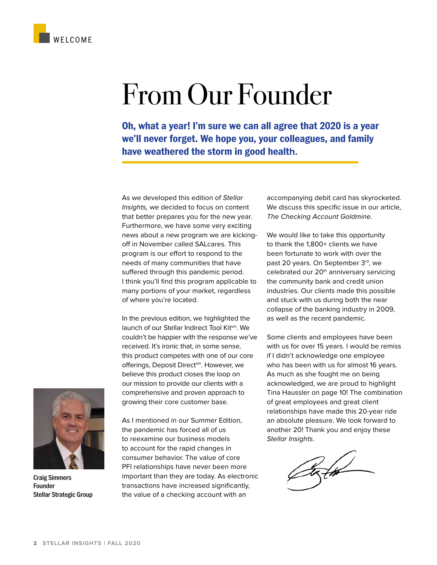

**Oh, what a year! I'm sure we can all agree that 2020 is a year we'll never forget. We hope you, your colleagues, and family have weathered the storm in good health.** 

As we developed this edition of Stellar Insights, we decided to focus on content that better prepares you for the new year. Furthermore, we have some very exciting news about a new program we are kickingoff in November called SALcares. This program is our effort to respond to the needs of many communities that have suffered through this pandemic period. I think you'll find this program applicable to many portions of your market, regardless of where you're located.

In the previous edition, we highlighted the launch of our Stellar Indirect Tool Kitsm. We couldn't be happier with the response we've received. It's ironic that, in some sense, this product competes with one of our core offerings, Deposit Direct<sup>sm</sup>. However, we believe this product closes the loop on our mission to provide our clients with a comprehensive and proven approach to growing their core customer base.

WELCOME

Craig Simmers Founder Stellar Strategic Group

As I mentioned in our Summer Edition, the pandemic has forced all of us to reexamine our business models to account for the rapid changes in consumer behavior. The value of core PFI relationships have never been more important than they are today. As electronic transactions have increased significantly, the value of a checking account with an

accompanying debit card has skyrocketed. We discuss this specific issue in our article, The Checking Account Goldmine.

We would like to take this opportunity to thank the 1,800+ clients we have been fortunate to work with over the past 20 years. On September 3rd, we celebrated our 20<sup>th</sup> anniversary servicing the community bank and credit union industries. Our clients made this possible and stuck with us during both the near collapse of the banking industry in 2009, as well as the recent pandemic.

Some clients and employees have been with us for over 15 years. I would be remiss if I didn't acknowledge one employee who has been with us for almost 16 years. As much as she fought me on being acknowledged, we are proud to highlight Tina Haussler on page 10! The combination of great employees and great client relationships have made this 20-year ride an absolute pleasure. We look forward to another 20! Thank you and enjoy these Stellar Insights.

tzth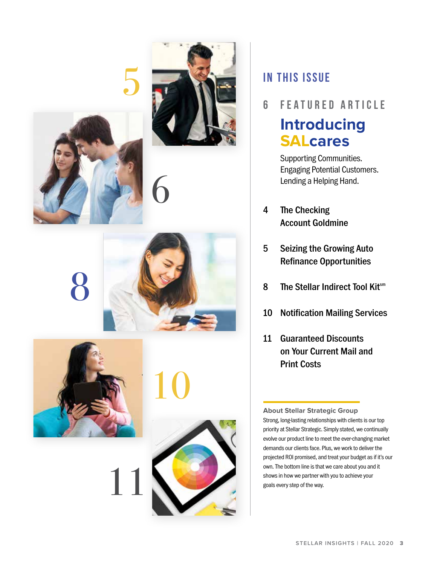





6

5



8



10

# **IN THIS ISSUE**

**6 featured article**

# **Introducing SALcares**

Supporting Communities. Engaging Potential Customers. Lending a Helping Hand.

- 4 The Checking Account Goldmine
- 5 Seizing the Growing Auto Refinance Opportunities
- 8 The Stellar Indirect Tool Kitsm
- 10 Notification Mailing Services
- 11 Guaranteed Discounts on Your Current Mail and Print Costs

**About Stellar Strategic Group** Strong, long-lasting relationships with clients is our top priority at Stellar Strategic. Simply stated, we continually evolve our product line to meet the ever-changing market demands our clients face. Plus, we work to deliver the projected ROI promised, and treat your budget as if it's our own. The bottom line is that we care about you and it shows in how we partner with you to achieve your goals every step of the way.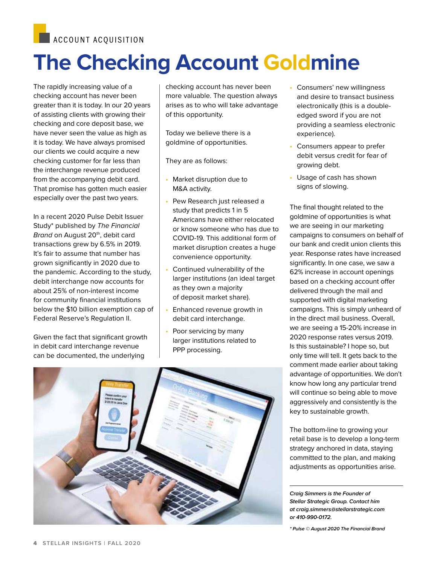**ACCOUNT ACQUISITION** 

# **The Checking Account Goldmine**

The rapidly increasing value of a checking account has never been greater than it is today. In our 20 years of assisting clients with growing their checking and core deposit base, we have never seen the value as high as it is today. We have always promised our clients we could acquire a new checking customer for far less than the interchange revenue produced from the accompanying debit card. That promise has gotten much easier especially over the past two years.

In a recent 2020 Pulse Debit Issuer Study\* published by The Financial Brand on August 20<sup>th</sup>, debit card transactions grew by 6.5% in 2019. It's fair to assume that number has grown significantly in 2020 due to the pandemic. According to the study, debit interchange now accounts for about 25% of non-interest income for community financial institutions below the \$10 billion exemption cap of Federal Reserve's Regulation II.

Given the fact that significant growth in debit card interchange revenue can be documented, the underlying

checking account has never been more valuable. The question always arises as to who will take advantage of this opportunity.

Today we believe there is a goldmine of opportunities.

They are as follows:

- Market disruption due to M&A activity.
- Pew Research just released a study that predicts 1 in 5 Americans have either relocated or know someone who has due to COVID-19. This additional form of market disruption creates a huge convenience opportunity.
- Continued vulnerability of the larger institutions (an ideal target as they own a majority of deposit market share).
- Enhanced revenue growth in debit card interchange.
- Poor servicing by many larger institutions related to PPP processing.



- Consumers' new willingness and desire to transact business electronically (this is a doubleedged sword if you are not providing a seamless electronic experience).
- Consumers appear to prefer debit versus credit for fear of growing debt.
- Usage of cash has shown signs of slowing.

The final thought related to the goldmine of opportunities is what we are seeing in our marketing campaigns to consumers on behalf of our bank and credit union clients this year. Response rates have increased significantly. In one case, we saw a 62% increase in account openings based on a checking account offer delivered through the mail and supported with digital marketing campaigns. This is simply unheard of in the direct mail business. Overall, we are seeing a 15-20% increase in 2020 response rates versus 2019. Is this sustainable? I hope so, but only time will tell. It gets back to the comment made earlier about taking advantage of opportunities. We don't know how long any particular trend will continue so being able to move aggressively and consistently is the key to sustainable growth.

The bottom-line to growing your retail base is to develop a long-term strategy anchored in data, staying committed to the plan, and making adjustments as opportunities arise.

**Craig Simmers is the Founder of Stellar Strategic Group. Contact him at craig.simmers@stellarstrategic.com or 410-990-0172.**

**\* Pulse © August 2020 The Financial Brand**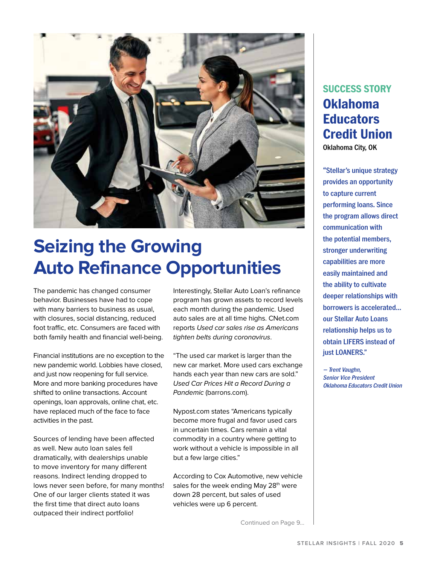

# **Seizing the Growing Auto Refinance Opportunities**

The pandemic has changed consumer behavior. Businesses have had to cope with many barriers to business as usual, with closures, social distancing, reduced foot traffic, etc. Consumers are faced with both family health and financial well-being.

Financial institutions are no exception to the new pandemic world. Lobbies have closed, and just now reopening for full service. More and more banking procedures have shifted to online transactions. Account openings, loan approvals, online chat, etc. have replaced much of the face to face activities in the past.

Sources of lending have been affected as well. New auto loan sales fell dramatically, with dealerships unable to move inventory for many different reasons. Indirect lending dropped to lows never seen before, for many months! One of our larger clients stated it was the first time that direct auto loans outpaced their indirect portfolio!

Interestingly, Stellar Auto Loan's refinance program has grown assets to record levels each month during the pandemic. Used auto sales are at all time highs. CNet.com reports Used car sales rise as Americans tighten belts during coronavirus.

"The used car market is larger than the new car market. More used cars exchange hands each year than new cars are sold." Used Car Prices Hit a Record During a Pandemic (barrons.com).

Nypost.com states "Americans typically become more frugal and favor used cars in uncertain times. Cars remain a vital commodity in a country where getting to work without a vehicle is impossible in all but a few large cities."

According to Cox Automotive, new vehicle sales for the week ending May 28<sup>th</sup> were down 28 percent, but sales of used vehicles were up 6 percent.

Continued on Page 9...

# **SUCCESS STORY Oklahoma Educators Credit Union**

Oklahoma City, OK

"Stellar's unique strategy provides an opportunity to capture current performing loans. Since the program allows direct communication with the potential members, stronger underwriting capabilities are more easily maintained and the ability to cultivate deeper relationships with borrowers is accelerated… our Stellar Auto Loans relationship helps us to obtain LIFERS instead of just LOANERS."

— Trent Vaughn, Senior Vice President Oklahoma Educators Credit Union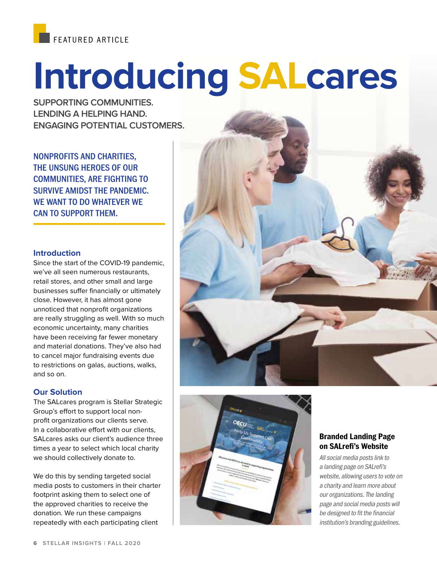

# **Introducing SALcares**

**SUPPORTING COMMUNITIES. LENDING A HELPING HAND. ENGAGING POTENTIAL CUSTOMERS.**

NONPROFITS AND CHARITIES, THE UNSUNG HEROES OF OUR COMMUNITIES, ARE FIGHTING TO SURVIVE AMIDST THE PANDEMIC. WE WANT TO DO WHATEVER WE CAN TO SUPPORT THEM.

### **Introduction**

Since the start of the COVID-19 pandemic, we've all seen numerous restaurants, retail stores, and other small and large businesses suffer financially or ultimately close. However, it has almost gone unnoticed that nonprofit organizations are really struggling as well. With so much economic uncertainty, many charities have been receiving far fewer monetary and material donations. They've also had to cancel major fundraising events due to restrictions on galas, auctions, walks, and so on.

#### **Our Solution**

The SALcares program is Stellar Strategic Group's effort to support local nonprofit organizations our clients serve. In a collaborative effort with our clients, SALcares asks our client's audience three times a year to select which local charity we should collectively donate to.

We do this by sending targeted social media posts to customers in their charter footprint asking them to select one of the approved charities to receive the donation. We run these campaigns repeatedly with each participating client





## **Branded Landing Page on SALrefi's Website**

All social media posts link to a landing page on SALrefi's website, allowing users to vote on a charity and learn more about our organizations. The landing page and social media posts will be designed to fit the financial institution's branding guidelines.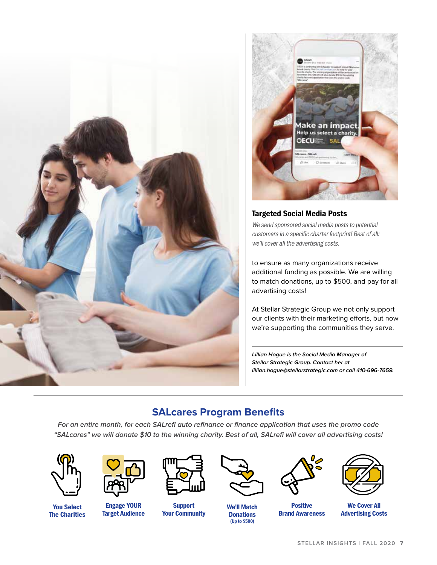



## **Targeted Social Media Posts**

We send sponsored social media posts to potential customers in a specific charter footprint! Best of all: we'll cover all the advertising costs.

to ensure as many organizations receive additional funding as possible. We are willing to match donations, up to \$500, and pay for all advertising costs!

At Stellar Strategic Group we not only support our clients with their marketing efforts, but now we're supporting the communities they serve.

**Lillian Hogue is the Social Media Manager of Stellar Strategic Group. Contact her at lillian.hogue@stellarstrategic.com or call 410-696-7659.**

# **SALcares Program Benefits**

**For an entire month, for each SALrefi auto refinance or finance application that uses the promo code "SALcares" we will donate \$10 to the winning charity. Best of all, SALrefi will cover all advertising costs!**



**You Select The Charities**



**Engage YOUR Target Audience**



**Support Your Community**



**We'll Match Donations (Up to \$500)**



**Positive Brand Awareness**



**We Cover All Advertising Costs**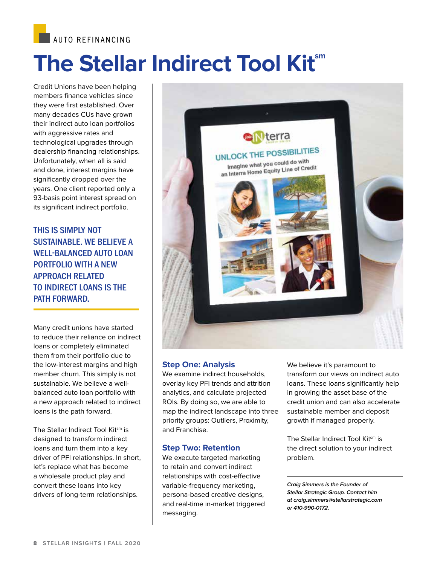**AUTO REFINANCING** 

# **The Stellar Indirect Tool Kitsm**

Credit Unions have been helping members finance vehicles since they were first established. Over many decades CUs have grown their indirect auto loan portfolios with aggressive rates and technological upgrades through dealership financing relationships. Unfortunately, when all is said and done, interest margins have significantly dropped over the years. One client reported only a 93-basis point interest spread on its significant indirect portfolio.

THIS IS SIMPLY NOT SUSTAINABLE. WE BELIEVE A WELL-BALANCED AUTO LOAN PORTFOLIO WITH A NEW APPROACH RELATED TO INDIRECT LOANS IS THE PATH FORWARD.

Many credit unions have started to reduce their reliance on indirect loans or completely eliminated them from their portfolio due to the low-interest margins and high member churn. This simply is not sustainable. We believe a wellbalanced auto loan portfolio with a new approach related to indirect loans is the path forward.

The Stellar Indirect Tool Kitsm is designed to transform indirect loans and turn them into a key driver of PFI relationships. In short, let's replace what has become a wholesale product play and convert these loans into key drivers of long-term relationships.



### **Step One: Analysis**

We examine indirect households, overlay key PFI trends and attrition analytics, and calculate projected ROIs. By doing so, we are able to map the indirect landscape into three priority groups: Outliers, Proximity, and Franchise.

#### **Step Two: Retention**

We execute targeted marketing to retain and convert indirect relationships with cost-effective variable-frequency marketing, persona-based creative designs, and real-time in-market triggered messaging.

We believe it's paramount to transform our views on indirect auto loans. These loans significantly help in growing the asset base of the credit union and can also accelerate sustainable member and deposit growth if managed properly.

The Stellar Indirect Tool Kitsm is the direct solution to your indirect problem.

**Craig Simmers is the Founder of Stellar Strategic Group. Contact him at craig.simmers@stellarstrategic.com or 410-990-0172.**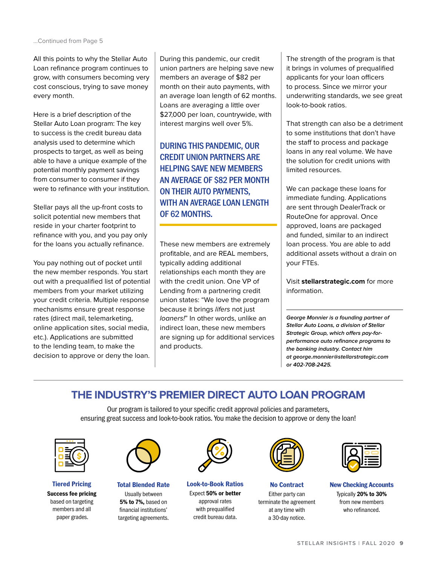All this points to why the Stellar Auto Loan refinance program continues to grow, with consumers becoming very cost conscious, trying to save money every month.

Here is a brief description of the Stellar Auto Loan program: The key to success is the credit bureau data analysis used to determine which prospects to target, as well as being able to have a unique example of the potential monthly payment savings from consumer to consumer if they were to refinance with your institution.

Stellar pays all the up-front costs to solicit potential new members that reside in your charter footprint to refinance with you, and you pay only for the loans you actually refinance.

You pay nothing out of pocket until the new member responds. You start out with a prequalified list of potential members from your market utilizing your credit criteria. Multiple response mechanisms ensure great response rates (direct mail, telemarketing, online application sites, social media, etc.). Applications are submitted to the lending team, to make the decision to approve or deny the loan. During this pandemic, our credit union partners are helping save new members an average of \$82 per month on their auto payments, with an average loan length of 62 months. Loans are averaging a little over \$27,000 per loan, countrywide, with interest margins well over 5%.

DURING THIS PANDEMIC, OUR CREDIT UNION PARTNERS ARE HELPING SAVE NEW MEMBERS AN AVERAGE OF \$82 PER MONTH ON THEIR AUTO PAYMENTS, WITH AN AVERAGE LOAN LENGTH OF 62 MONTHS.

These new members are extremely profitable, and are REAL members, typically adding additional relationships each month they are with the credit union. One VP of Lending from a partnering credit union states: "We love the program because it brings lifers not just loaners!" In other words, unlike an indirect loan, these new members are signing up for additional services and products.

The strength of the program is that it brings in volumes of prequalified applicants for your loan officers to process. Since we mirror your underwriting standards, we see great look-to-book ratios.

That strength can also be a detriment to some institutions that don't have the staff to process and package loans in any real volume. We have the solution for credit unions with limited resources.

We can package these loans for immediate funding. Applications are sent through DealerTrack or RouteOne for approval. Once approved, loans are packaged and funded, similar to an indirect loan process. You are able to add additional assets without a drain on your FTEs.

Visit **stellarstrategic.com** for more information.

**George Monnier is a founding partner of Stellar Auto Loans, a division of Stellar Strategic Group, which offers pay-forperformance auto refinance programs to the banking industry. Contact him at george.monnier@stellarstrategic.com or 402-708-2425.**

# **THE INDUSTRY'S PREMIER DIRECT AUTO LOAN PROGRAM**

Our program is tailored to your specific credit approval policies and parameters, ensuring great success and look-to-book ratios. You make the decision to approve or deny the loan!



**Tiered Pricing Success fee pricing** based on targeting members and all paper grades.



**Total Blended Rate** Usually between **5% to 7%,** based on financial institutions' targeting agreements.



**Look-to-Book Ratios** Expect **50% or better**  approval rates with prequalified credit bureau data.



**No Contract** Either party can terminate the agreement at any time with a 30-day notice.



**New Checking Accounts**  Typically **20% to 30%** from new members who refinanced.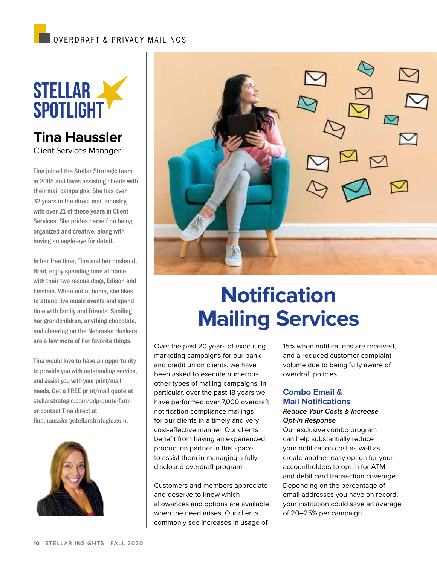# OVERDRAFT & PRIVACY MAILINGS



# **Tina Haussler** Client Services Manager

Tina joined the Stellar Strategic team in 2005 and loves assisting clients with their mail campaigns. She has over 32 years in the direct mail industry, with over 21 of these years in Client Services. She prides herself on being organized and creative, along with having an eagle-eye for detail.

In her free time, Tina and her husband, Brad, enjoy spending time at home with their two rescue dogs, Edison and Einstein. When not at home, she likes to attend live music events and spend time with family and friends. Spoiling her grandchildren, anything chocolate, and cheering on the Nebraska Huskers are a few more of her favorite things.

Tina would love to have an opportunity to provide you with outstanding service, and assist you with your print/mail needs. Get a FREE print/mail quote at stellarstrategic.com/odp-quote-form or contact Tina direct at tina.haussler@stellarstrategic.com.





# **Notification Mailing Services**

Over the past 20 years of executing marketing campaigns for our bank and credit union clients, we have been asked to execute numerous other types of mailing campaigns. In particular, over the past 18 years we have performed over 7,000 overdraft notification compliance mailings for our clients in a timely and very cost-effective manner. Our clients benefit from having an experienced production partner in this space to assist them in managing a fullydisclosed overdraft program.

Customers and members appreciate and deserve to know which allowances and options are available when the need arises. Our clients commonly see increases in usage of

15% when notifications are received, and a reduced customer complaint volume due to being fully aware of overdraft policies.

## **Combo Email & Mail Notifications**

#### **Reduce Your Costs & Increase Opt-in Response**

Our exclusive combo program can help substantially reduce your notification cost as well as create another easy option for your accountholders to opt-in for ATM and debit card transaction coverage. Depending on the percentage of email addresses you have on record, your institution could save an average of 20–25% per campaign.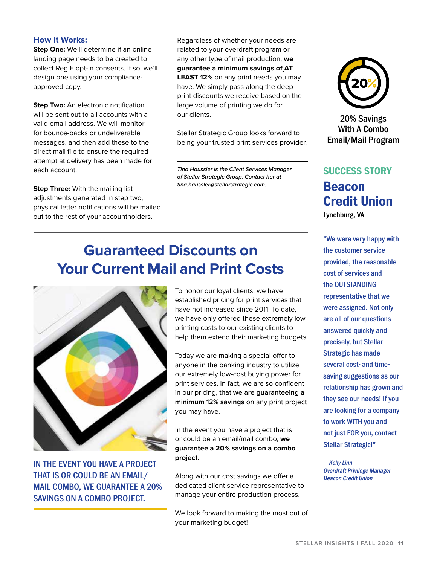#### **How It Works:**

**Step One:** We'll determine if an online landing page needs to be created to collect Reg E opt-in consents. If so, we'll design one using your complianceapproved copy.

**Step Two:** An electronic notification will be sent out to all accounts with a valid email address. We will monitor for bounce-backs or undeliverable messages, and then add these to the direct mail file to ensure the required attempt at delivery has been made for each account.

**Step Three:** With the mailing list adjustments generated in step two, physical letter notifications will be mailed out to the rest of your accountholders.

Regardless of whether your needs are related to your overdraft program or any other type of mail production, **we guarantee a minimum savings of AT LEAST 12%** on any print needs you may have. We simply pass along the deep print discounts we receive based on the large volume of printing we do for our clients.

Stellar Strategic Group looks forward to being your trusted print services provider.

**Tina Haussler is the Client Services Manager of Stellar Strategic Group. Contact her at tina.haussler@stellarstrategic.com.**

# **Guaranteed Discounts on Your Current Mail and Print Costs**



IN THE EVENT YOU HAVE A PROJECT THAT IS OR COULD BE AN EMAIL/ MAIL COMBO, WE GUARANTEE A 20% SAVINGS ON A COMBO PROJECT.

To honor our loyal clients, we have established pricing for print services that have not increased since 2011! To date, we have only offered these extremely low printing costs to our existing clients to help them extend their marketing budgets.

Today we are making a special offer to anyone in the banking industry to utilize our extremely low-cost buying power for print services. In fact, we are so confident in our pricing, that **we are guaranteeing a minimum 12% savings** on any print project you may have.

In the event you have a project that is or could be an email/mail combo, **we guarantee a 20% savings on a combo project.** 

Along with our cost savings we offer a dedicated client service representative to manage your entire production process.

We look forward to making the most out of your marketing budget!



20% Savings With A Combo Email/Mail Program

# **SUCCESS STORY Beacon Credit Union** Lynchburg, VA

"We were very happy with the customer service provided, the reasonable cost of services and the OUTSTANDING representative that we were assigned. Not only are all of our questions answered quickly and precisely, but Stellar Strategic has made several cost- and timesaving suggestions as our relationship has grown and they see our needs! If you are looking for a company to work WITH you and not just FOR you, contact Stellar Strategic!"

— Kelly Linn Overdraft Privilege Manager Beacon Credit Union